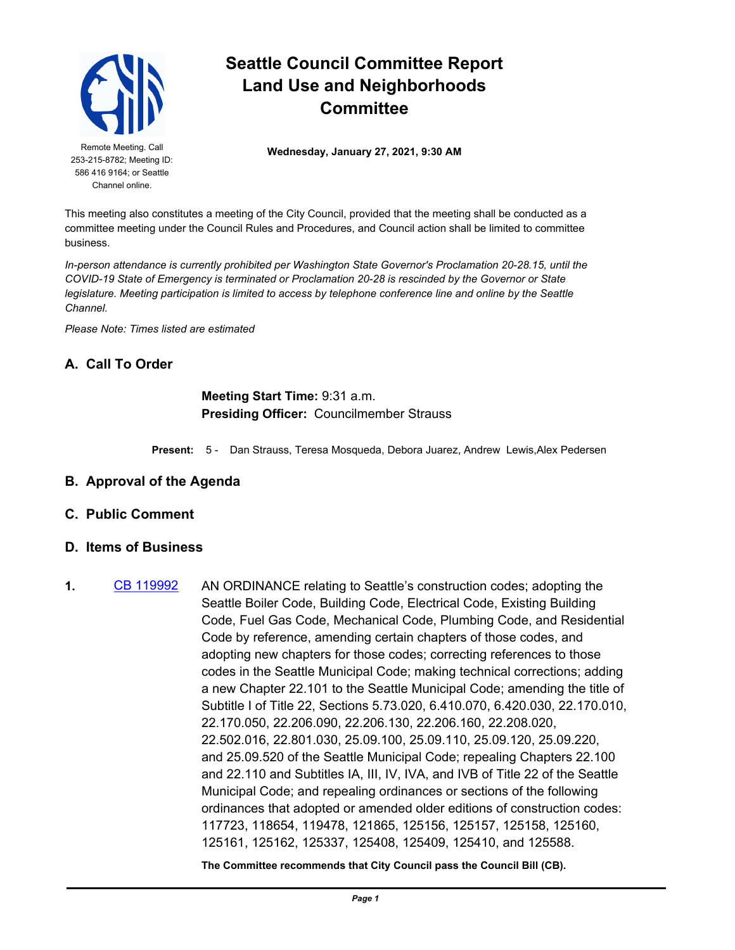

253-215-8782; Meeting ID: 586 416 9164; or Seattle Channel online.

## **Seattle Council Committee Report Land Use and Neighborhoods Committee**

Remote Meeting. Call **Wednesday, January 27, 2021, 9:30 AM** 

This meeting also constitutes a meeting of the City Council, provided that the meeting shall be conducted as a committee meeting under the Council Rules and Procedures, and Council action shall be limited to committee business.

*In-person attendance is currently prohibited per Washington State Governor's Proclamation 20-28.15, until the COVID-19 State of Emergency is terminated or Proclamation 20-28 is rescinded by the Governor or State legislature. Meeting participation is limited to access by telephone conference line and online by the Seattle Channel.*

*Please Note: Times listed are estimated*

## **A. Call To Order**

## **Meeting Start Time:** 9:31 a.m. **Presiding Officer:** Councilmember Strauss

**Present:** 5 - Dan Strauss, Teresa Mosqueda, Debora Juarez, Andrew Lewis,Alex Pedersen

- **B. Approval of the Agenda**
- **C. Public Comment**
- **D. Items of Business**
- **1.** [CB 119992](http://seattle.legistar.com/gateway.aspx?m=l&id=/matter.aspx?key=11277) AN ORDINANCE relating to Seattle's construction codes; adopting the Seattle Boiler Code, Building Code, Electrical Code, Existing Building Code, Fuel Gas Code, Mechanical Code, Plumbing Code, and Residential Code by reference, amending certain chapters of those codes, and adopting new chapters for those codes; correcting references to those codes in the Seattle Municipal Code; making technical corrections; adding a new Chapter 22.101 to the Seattle Municipal Code; amending the title of Subtitle I of Title 22, Sections 5.73.020, 6.410.070, 6.420.030, 22.170.010, 22.170.050, 22.206.090, 22.206.130, 22.206.160, 22.208.020, 22.502.016, 22.801.030, 25.09.100, 25.09.110, 25.09.120, 25.09.220, and 25.09.520 of the Seattle Municipal Code; repealing Chapters 22.100 and 22.110 and Subtitles IA, III, IV, IVA, and IVB of Title 22 of the Seattle Municipal Code; and repealing ordinances or sections of the following ordinances that adopted or amended older editions of construction codes: 117723, 118654, 119478, 121865, 125156, 125157, 125158, 125160, 125161, 125162, 125337, 125408, 125409, 125410, and 125588.

**The Committee recommends that City Council pass the Council Bill (CB).**